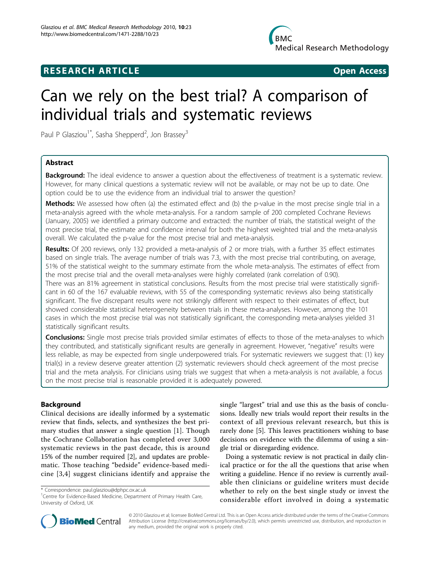# **RESEARCH ARTICLE Example 2018 CONSIDERING ACCESS**

# Can we rely on the best trial? A comparison of individual trials and systematic reviews

Paul P Glasziou<sup>1\*</sup>, Sasha Shepperd<sup>2</sup>, Jon Brassey<sup>3</sup>

# Abstract

**Background:** The ideal evidence to answer a question about the effectiveness of treatment is a systematic review. However, for many clinical questions a systematic review will not be available, or may not be up to date. One option could be to use the evidence from an individual trial to answer the question?

Methods: We assessed how often (a) the estimated effect and (b) the p-value in the most precise single trial in a meta-analysis agreed with the whole meta-analysis. For a random sample of 200 completed Cochrane Reviews (January, 2005) we identified a primary outcome and extracted: the number of trials, the statistical weight of the most precise trial, the estimate and confidence interval for both the highest weighted trial and the meta-analysis overall. We calculated the p-value for the most precise trial and meta-analysis.

Results: Of 200 reviews, only 132 provided a meta-analysis of 2 or more trials, with a further 35 effect estimates based on single trials. The average number of trials was 7.3, with the most precise trial contributing, on average, 51% of the statistical weight to the summary estimate from the whole meta-analysis. The estimates of effect from the most precise trial and the overall meta-analyses were highly correlated (rank correlation of 0.90).

There was an 81% agreement in statistical conclusions. Results from the most precise trial were statistically significant in 60 of the 167 evaluable reviews, with 55 of the corresponding systematic reviews also being statistically significant. The five discrepant results were not strikingly different with respect to their estimates of effect, but showed considerable statistical heterogeneity between trials in these meta-analyses. However, among the 101 cases in which the most precise trial was not statistically significant, the corresponding meta-analyses yielded 31 statistically significant results.

Conclusions: Single most precise trials provided similar estimates of effects to those of the meta-analyses to which they contributed, and statistically significant results are generally in agreement. However, "negative" results were less reliable, as may be expected from single underpowered trials. For systematic reviewers we suggest that: (1) key trial(s) in a review deserve greater attention (2) systematic reviewers should check agreement of the most precise trial and the meta analysis. For clinicians using trials we suggest that when a meta-analysis is not available, a focus on the most precise trial is reasonable provided it is adequately powered.

# Background

Clinical decisions are ideally informed by a systematic review that finds, selects, and synthesizes the best primary studies that answer a single question [[1\]](#page-6-0). Though the Cochrane Collaboration has completed over 3,000 systematic reviews in the past decade, this is around 15% of the number required [\[2](#page-6-0)], and updates are problematic. Those teaching "bedside" evidence-based medicine [[3,4\]](#page-6-0) suggest clinicians identify and appraise the

single "largest" trial and use this as the basis of conclusions. Ideally new trials would report their results in the context of all previous relevant research, but this is rarely done [[5\]](#page-6-0). This leaves practitioners wishing to base decisions on evidence with the dilemma of using a single trial or disregarding evidence.

Doing a systematic review is not practical in daily clinical practice or for the all the questions that arise when writing a guideline. Hence if no review is currently available then clinicians or guideline writers must decide whether to rely on the best single study or invest the considerable effort involved in doing a systematic



© 2010 Glasziou et al; licensee BioMed Central Ltd. This is an Open Access article distributed under the terms of the Creative Commons Attribution License [\(http://creativecommons.org/licenses/by/2.0](http://creativecommons.org/licenses/by/2.0)), which permits unrestricted use, distribution, and reproduction in any medium, provided the original work is properly cited.

<sup>\*</sup> Correspondence: [paul.glasziou@dphpc.ox.ac.uk](mailto:paul.glasziou@dphpc.ox.ac.uk)

<sup>&</sup>lt;sup>1</sup>Centre for Evidence-Based Medicine, Department of Primary Health Care, University of Oxford, UK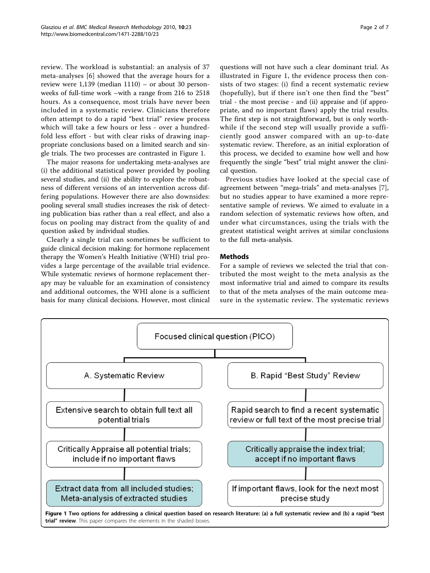<span id="page-1-0"></span>review. The workload is substantial: an analysis of 37 meta-analyses [[6](#page-6-0)] showed that the average hours for a review were 1,139 (median 1110) – or about 30 personweeks of full-time work –with a range from 216 to 2518 hours. As a consequence, most trials have never been included in a systematic review. Clinicians therefore often attempt to do a rapid "best trial" review process which will take a few hours or less - over a hundredfold less effort - but with clear risks of drawing inappropriate conclusions based on a limited search and single trials. The two processes are contrasted in Figure 1.

The major reasons for undertaking meta-analyses are (i) the additional statistical power provided by pooling several studies, and (ii) the ability to explore the robustness of different versions of an intervention across differing populations. However there are also downsides: pooling several small studies increases the risk of detecting publication bias rather than a real effect, and also a focus on pooling may distract from the quality of and question asked by individual studies.

Clearly a single trial can sometimes be sufficient to guide clinical decision making: for hormone replacement therapy the Women's Health Initiative (WHI) trial provides a large percentage of the available trial evidence. While systematic reviews of hormone replacement therapy may be valuable for an examination of consistency and additional outcomes, the WHI alone is a sufficient basis for many clinical decisions. However, most clinical

questions will not have such a clear dominant trial. As illustrated in Figure 1, the evidence process then consists of two stages: (i) find a recent systematic review (hopefully), but if there isn't one then find the "best" trial - the most precise - and (ii) appraise and (if appropriate, and no important flaws) apply the trial results. The first step is not straightforward, but is only worthwhile if the second step will usually provide a sufficiently good answer compared with an up-to-date systematic review. Therefore, as an initial exploration of this process, we decided to examine how well and how frequently the single "best" trial might answer the clinical question.

Previous studies have looked at the special case of agreement between "mega-trials" and meta-analyses [\[7](#page-6-0)], but no studies appear to have examined a more representative sample of reviews. We aimed to evaluate in a random selection of systematic reviews how often, and under what circumstances, using the trials with the greatest statistical weight arrives at similar conclusions to the full meta-analysis.

# **Methods**

For a sample of reviews we selected the trial that contributed the most weight to the meta analysis as the most informative trial and aimed to compare its results to that of the meta analyses of the main outcome measure in the systematic review. The systematic reviews

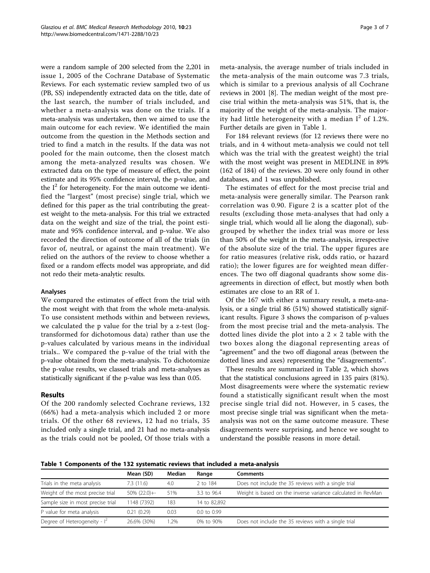were a random sample of 200 selected from the 2,201 in issue 1, 2005 of the Cochrane Database of Systematic Reviews. For each systematic review sampled two of us (PB, SS) independently extracted data on the title, date of the last search, the number of trials included, and whether a meta-analysis was done on the trials. If a meta-analysis was undertaken, then we aimed to use the main outcome for each review. We identified the main outcome from the question in the Methods section and tried to find a match in the results. If the data was not pooled for the main outcome, then the closest match among the meta-analyzed results was chosen. We extracted data on the type of measure of effect, the point estimate and its 95% confidence interval, the p-value, and the  $I^2$  for heterogeneity. For the main outcome we identified the "largest" (most precise) single trial, which we defined for this paper as the trial contributing the greatest weight to the meta-analysis. For this trial we extracted data on the weight and size of the trial, the point estimate and 95% confidence interval, and p-value. We also recorded the direction of outcome of all of the trials (in favor of, neutral, or against the main treatment). We relied on the authors of the review to choose whether a fixed or a random effects model was appropriate, and did not redo their meta-analytic results.

#### Analyses

We compared the estimates of effect from the trial with the most weight with that from the whole meta-analysis. To use consistent methods within and between reviews, we calculated the p value for the trial by a z-test (logtransformed for dichotomous data) rather than use the p-values calculated by various means in the individual trials.. We compared the p-value of the trial with the p-value obtained from the meta-analysis. To dichotomize the p-value results, we classed trials and meta-analyses as statistically significant if the p-value was less than 0.05.

# Results

Of the 200 randomly selected Cochrane reviews, 132 (66%) had a meta-analysis which included 2 or more trials. Of the other 68 reviews, 12 had no trials, 35 included only a single trial, and 21 had no meta-analysis as the trials could not be pooled, Of those trials with a meta-analysis, the average number of trials included in the meta-analysis of the main outcome was 7.3 trials, which is similar to a previous analysis of all Cochrane reviews in 2001 [\[8\]](#page-6-0). The median weight of the most precise trial within the meta-analysis was 51%, that is, the majority of the weight of the meta-analysis. The majority had little heterogeneity with a median  $I^2$  of 1.2%. Further details are given in Table 1.

For 184 relevant reviews (for 12 reviews there were no trials, and in 4 without meta-analysis we could not tell which was the trial with the greatest weight) the trial with the most weight was present in MEDLINE in 89% (162 of 184) of the reviews. 20 were only found in other databases, and 1 was unpublished.

The estimates of effect for the most precise trial and meta-analysis were generally similar. The Pearson rank correlation was 0.90. Figure [2](#page-3-0) is a scatter plot of the results (excluding those meta-analyses that had only a single trial, which would all lie along the diagonal), subgrouped by whether the index trial was more or less than 50% of the weight in the meta-analysis, irrespective of the absolute size of the trial. The upper figures are for ratio measures (relative risk, odds ratio, or hazard ratio); the lower figures are for weighted mean differences. The two off diagonal quadrants show some disagreements in direction of effect, but mostly when both estimates are close to an RR of 1.

Of the 167 with either a summary result, a meta-analysis, or a single trial 86 (51%) showed statistically significant results. Figure [3](#page-4-0) shows the comparison of p-values from the most precise trial and the meta-analysis. The dotted lines divide the plot into a  $2 \times 2$  table with the two boxes along the diagonal representing areas of "agreement" and the two off diagonal areas (between the dotted lines and axes) representing the "disagreements".

These results are summarized in Table [2,](#page-4-0) which shows that the statistical conclusions agreed in 135 pairs (81%). Most disagreements were where the systematic review found a statistically significant result when the most precise single trial did not. However, in 5 cases, the most precise single trial was significant when the metaanalysis was not on the same outcome measure. These disagreements were surprising, and hence we sought to understand the possible reasons in more detail.

Table 1 Components of the 132 systematic reviews that included a meta-analysis

|                                   | Mean (SD)       | Median | Range           | Comments                                                     |
|-----------------------------------|-----------------|--------|-----------------|--------------------------------------------------------------|
| Trials in the meta analysis       | 7.3(11.6)       | 4.0    | 2 to 184        | Does not include the 35 reviews with a single trial          |
| Weight of the most precise trial  | $50\%$ (22.0)+- | 51%    | 3.3 to 96.4     | Weight is based on the inverse variance calculated in RevMan |
| Sample size in most precise trial | 1148 (7392)     | 183    | 14 to 82.892    |                                                              |
| P value for meta analysis         | 0.21(0.29)      | 0.03   | $0.0$ to $0.99$ |                                                              |
| Degree of Heterogeneity - $I^2$   | 26.6% (30%)     | 1.2%   | 0% to 90%       | Does not include the 35 reviews with a single trial          |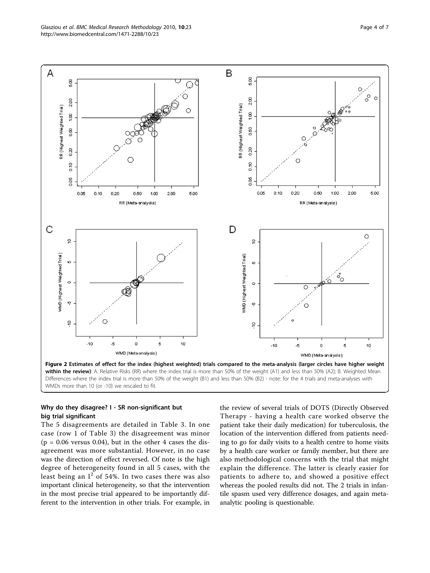<span id="page-3-0"></span>

within the review): A. Relative Risks (RR) where the index trial is more than 50% of the weight (A1) and less than 50% (A2); B. Weighted Mean Differences where the index trial is more than 50% of the weight (B1) and less than 50% (B2) - note: for the 4 trials and meta-analyses with WMDs more than 10 (or -10) we rescaled to fit.

# Why do they disagree? I - SR non-significant but big trial significant

The 5 disagreements are detailed in Table [3.](#page-5-0) In one case (row 1 of Table [3\)](#page-5-0) the disagreement was minor  $(p = 0.06$  versus 0.04), but in the other 4 cases the disagreement was more substantial. However, in no case was the direction of effect reversed. Of note is the high degree of heterogeneity found in all 5 cases, with the least being an  $I^2$  of 54%. In two cases there was also important clinical heterogeneity, so that the intervention in the most precise trial appeared to be importantly different to the intervention in other trials. For example, in

the review of several trials of DOTS (Directly Observed Therapy - having a health care worked observe the patient take their daily medication) for tuberculosis, the location of the intervention differed from patients needing to go for daily visits to a health centre to home visits by a health care worker or family member, but there are also methodological concerns with the trial that might explain the difference. The latter is clearly easier for patients to adhere to, and showed a positive effect whereas the pooled results did not. The 2 trials in infantile spasm used very difference dosages, and again metaanalytic pooling is questionable.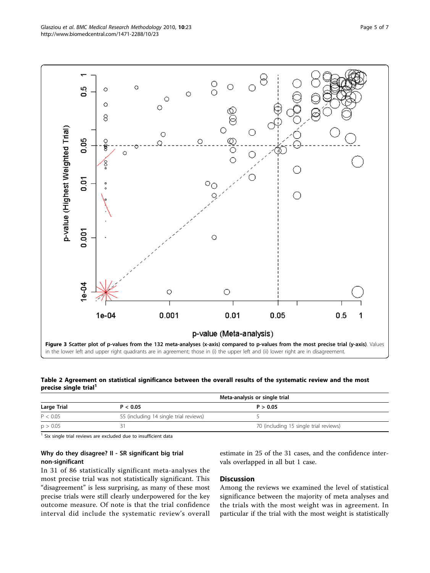<span id="page-4-0"></span>

p-value (Meta-analysis) Figure 3 Scatter plot of p-values from the 132 meta-analyses (x-axis) compared to p-values from the most precise trial (y-axis). Values in the lower left and upper right quadrants are in agreement; those in (i) the upper left and (ii) lower right are in disagreement.

Table 2 Agreement on statistical significance between the overall results of the systematic review and the most precise single trial<sup>1</sup>

|             |                                        | Meta-analysis or single trial          |  |  |  |  |  |
|-------------|----------------------------------------|----------------------------------------|--|--|--|--|--|
| Large Trial | P < 0.05                               | P > 0.05                               |  |  |  |  |  |
| P < 0.05    | 55 (including 14 single trial reviews) |                                        |  |  |  |  |  |
| p > 0.05    |                                        | 70 (including 15 single trial reviews) |  |  |  |  |  |

 $1$  Six single trial reviews are excluded due to insufficient data

# Why do they disagree? II - SR significant big trial non-significant

In 31 of 86 statistically significant meta-analyses the most precise trial was not statistically significant. This "disagreement" is less surprising, as many of these most precise trials were still clearly underpowered for the key outcome measure. Of note is that the trial confidence interval did include the systematic review's overall estimate in 25 of the 31 cases, and the confidence intervals overlapped in all but 1 case.

## **Discussion**

Among the reviews we examined the level of statistical significance between the majority of meta analyses and the trials with the most weight was in agreement. In particular if the trial with the most weight is statistically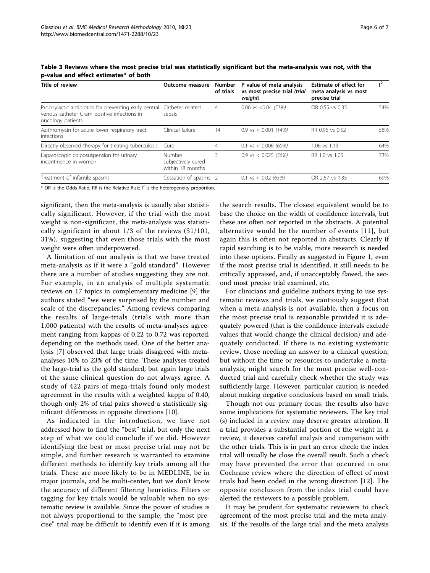| Title of review                                                                                                           | Outcome measure                                  | Number<br>of trials | P value of meta analysis<br>vs most precise trial (trial<br>weight) | <b>Estimate of effect for</b><br>meta analysis vs most<br>precise trial |     |
|---------------------------------------------------------------------------------------------------------------------------|--------------------------------------------------|---------------------|---------------------------------------------------------------------|-------------------------------------------------------------------------|-----|
| Prophylactic antibiotics for preventing early central<br>venous catheter Gram positive infections in<br>oncology patients | Catheter related<br>sepsis                       | 4                   | $0.06$ vs $< 0.04$ (51%)                                            | OR 0.55 vs 0.35                                                         | 54% |
| Azithromycin for acute lower respiratory tract<br>infections                                                              | Clinical failure                                 | 14                  | $0.9 \text{ vs } 0.001 (14\%)$                                      | RR 0.96 vs 0.52                                                         | 58% |
| Directly observed therapy for treating tuberculosis Cure                                                                  |                                                  | 4                   | $0.1 \text{ vs } < 0.006$ (60%)                                     | 1.06 vs 1.13                                                            | 64% |
| Laparoscopic colposuspension for urinary<br>incontinence in women                                                         | Number<br>subjectively cured<br>within 18 months | 3                   | $0.9 \text{ vs } 0.025 \ (56\%)$                                    | RR 1.0 vs 1.05                                                          | 73% |
| Treatment of infantile spasms<br>Cessation of spasms 2                                                                    |                                                  |                     | $0.1 \text{ vs } 0.02 \ (65\%)$                                     | OR 2.57 vs 1.35                                                         | 69% |

<span id="page-5-0"></span>Table 3 Reviews where the most precise trial was statistically significant but the meta-analysis was not, with the p-value and effect estimates\* of both

\* OR is the Odds Ratio; RR is the Relative Risk; I2 is the heterogeneity proportion.

significant, then the meta-analysis is usually also statistically significant. However, if the trial with the most weight is non-significant, the meta-analysis was statistically significant in about 1/3 of the reviews (31/101, 31%), suggesting that even those trials with the most weight were often underpowered.

A limitation of our analysis is that we have treated meta-analysis as if it were a "gold standard". However there are a number of studies suggesting they are not. For example, in an analysis of multiple systematic reviews on 17 topics in complementary medicine [\[9](#page-6-0)] the authors stated "we were surprised by the number and scale of the discrepancies." Among reviews comparing the results of large-trials (trials with more than 1,000 patients) with the results of meta-analyses agreement ranging from kappas of 0.22 to 0.72 was reported, depending on the methods used. One of the better analysis [[7](#page-6-0)] observed that large trials disagreed with metaanalyses 10% to 23% of the time. These analyses treated the large-trial as the gold standard, but again large trials of the same clinical question do not always agree. A study of 422 pairs of mega-trials found only modest agreement in the results with a weighted kappa of 0.40, though only 2% of trial pairs showed a statistically significant differences in opposite directions [[10\]](#page-6-0).

As indicated in the introduction, we have not addressed how to find the "best" trial, but only the next step of what we could conclude if we did. However identifying the best or most precise trial may not be simple, and further research is warranted to examine different methods to identify key trials among all the trials. These are more likely to be in MEDLINE, be in major journals, and be multi-center, but we don't know the accuracy of different filtering heuristics. Filters or tagging for key trials would be valuable when no systematic review is available. Since the power of studies is not always proportional to the sample, the "most precise" trial may be difficult to identify even if it is among

the search results. The closest equivalent would be to base the choice on the width of confidence intervals, but these are often not reported in the abstracts. A potential alternative would be the number of events [[11](#page-6-0)], but again this is often not reported in abstracts. Clearly if rapid searching is to be viable, more research is needed into these options. Finally as suggested in Figure [1](#page-1-0), even if the most precise trial is identified, it still needs to be critically appraised, and, if unacceptably flawed, the second most precise trial examined, etc.

For clinicians and guideline authors trying to use systematic reviews and trials, we cautiously suggest that when a meta-analysis is not available, then a focus on the most precise trial is reasonable provided it is adequately powered (that is the confidence intervals exclude values that would change the clinical decision) and adequately conducted. If there is no existing systematic review, those needing an answer to a clinical question, but without the time or resources to undertake a metaanalysis, might search for the most precise well-conducted trial and carefully check whether the study was sufficiently large. However, particular caution is needed about making negative conclusions based on small trials.

Though not our primary focus, the results also have some implications for systematic reviewers. The key trial (s) included in a review may deserve greater attention. If a trial provides a substantial portion of the weight in a review, it deserves careful analysis and comparison with the other trials. This is in part an error check: the index trial will usually be close the overall result. Such a check may have prevented the error that occurred in one Cochrane review where the direction of effect of most trials had been coded in the wrong direction [[12\]](#page-6-0). The opposite conclusion from the index trial could have alerted the reviewers to a possible problem.

It may be prudent for systematic reviewers to check agreement of the most precise trial and the meta analysis. If the results of the large trial and the meta analysis